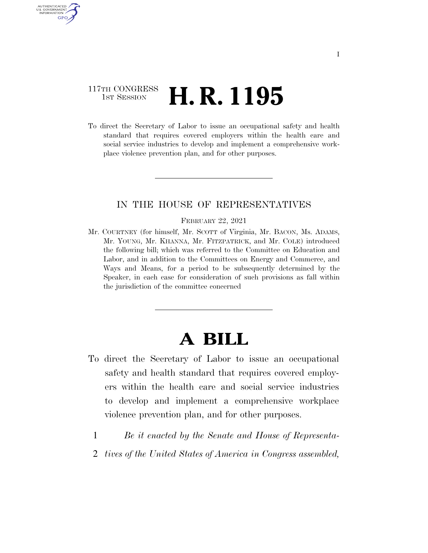## 117TH CONGRESS <sup>TH CONGRESS</sup> **H. R. 1195**

AUTHENTICATED U.S. GOVERNMENT GPO

> To direct the Secretary of Labor to issue an occupational safety and health standard that requires covered employers within the health care and social service industries to develop and implement a comprehensive workplace violence prevention plan, and for other purposes.

### IN THE HOUSE OF REPRESENTATIVES

#### FEBRUARY 22, 2021

Mr. COURTNEY (for himself, Mr. SCOTT of Virginia, Mr. BACON, Ms. ADAMS, Mr. YOUNG, Mr. KHANNA, Mr. FITZPATRICK, and Mr. COLE) introduced the following bill; which was referred to the Committee on Education and Labor, and in addition to the Committees on Energy and Commerce, and Ways and Means, for a period to be subsequently determined by the Speaker, in each case for consideration of such provisions as fall within the jurisdiction of the committee concerned

# **A BILL**

- To direct the Secretary of Labor to issue an occupational safety and health standard that requires covered employers within the health care and social service industries to develop and implement a comprehensive workplace violence prevention plan, and for other purposes.
	- 1 *Be it enacted by the Senate and House of Representa-*
	- 2 *tives of the United States of America in Congress assembled,*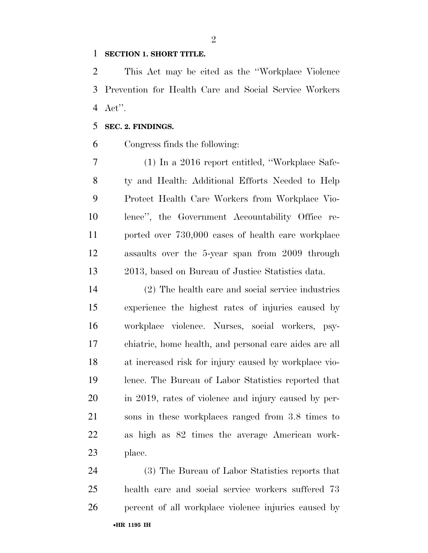#### **SECTION 1. SHORT TITLE.**

 This Act may be cited as the ''Workplace Violence Prevention for Health Care and Social Service Workers Act''.

#### **SEC. 2. FINDINGS.**

Congress finds the following:

 (1) In a 2016 report entitled, ''Workplace Safe- ty and Health: Additional Efforts Needed to Help Protect Health Care Workers from Workplace Vio- lence'', the Government Accountability Office re- ported over 730,000 cases of health care workplace assaults over the 5-year span from 2009 through 2013, based on Bureau of Justice Statistics data.

 (2) The health care and social service industries experience the highest rates of injuries caused by workplace violence. Nurses, social workers, psy- chiatric, home health, and personal care aides are all at increased risk for injury caused by workplace vio- lence. The Bureau of Labor Statistics reported that in 2019, rates of violence and injury caused by per- sons in these workplaces ranged from 3.8 times to as high as 82 times the average American work-place.

•**HR 1195 IH** (3) The Bureau of Labor Statistics reports that health care and social service workers suffered 73 percent of all workplace violence injuries caused by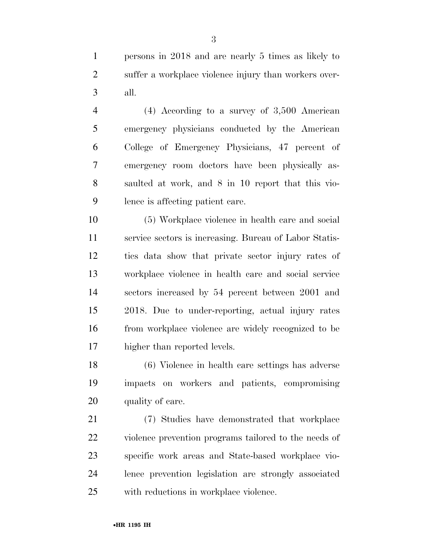(6) Violence in health care settings has adverse

higher than reported levels.

lence is affecting patient care.

 impacts on workers and patients, compromising 20 quality of care.

 (7) Studies have demonstrated that workplace violence prevention programs tailored to the needs of specific work areas and State-based workplace vio- lence prevention legislation are strongly associated with reductions in workplace violence.

persons in 2018 and are nearly 5 times as likely to

suffer a workplace violence injury than workers over-

(4) According to a survey of 3,500 American

emergency physicians conducted by the American

College of Emergency Physicians, 47 percent of

emergency room doctors have been physically as-

saulted at work, and 8 in 10 report that this vio-

(5) Workplace violence in health care and social

service sectors is increasing. Bureau of Labor Statis-

tics data show that private sector injury rates of

workplace violence in health care and social service

sectors increased by 54 percent between 2001 and

2018. Due to under-reporting, actual injury rates

from workplace violence are widely recognized to be

•**HR 1195 IH**

all.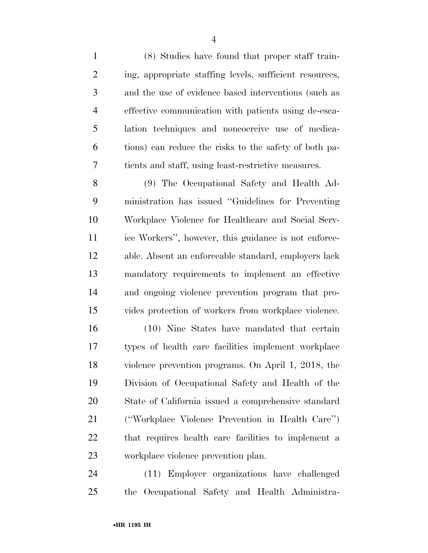(8) Studies have found that proper staff train- ing, appropriate staffing levels, sufficient resources, and the use of evidence based interventions (such as effective communication with patients using de-esca- lation techniques and noncoercive use of medica- tions) can reduce the risks to the safety of both pa-tients and staff, using least-restrictive measures.

 (9) The Occupational Safety and Health Ad- ministration has issued ''Guidelines for Preventing Workplace Violence for Healthcare and Social Serv- ice Workers'', however, this guidance is not enforce- able. Absent an enforceable standard, employers lack mandatory requirements to implement an effective and ongoing violence prevention program that pro-vides protection of workers from workplace violence.

 (10) Nine States have mandated that certain types of health care facilities implement workplace violence prevention programs. On April 1, 2018, the Division of Occupational Safety and Health of the State of California issued a comprehensive standard (''Workplace Violence Prevention in Health Care'') that requires health care facilities to implement a workplace violence prevention plan.

 (11) Employer organizations have challenged the Occupational Safety and Health Administra-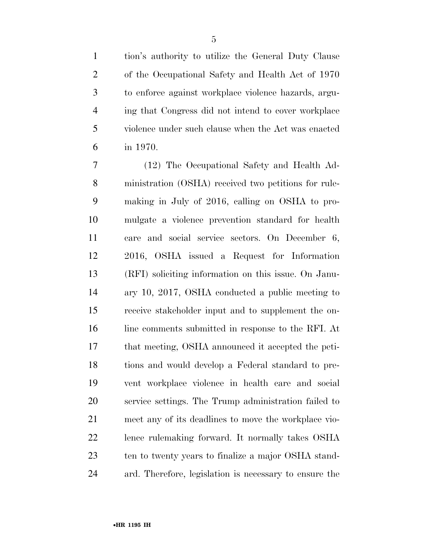tion's authority to utilize the General Duty Clause of the Occupational Safety and Health Act of 1970 to enforce against workplace violence hazards, argu- ing that Congress did not intend to cover workplace violence under such clause when the Act was enacted in 1970.

 (12) The Occupational Safety and Health Ad- ministration (OSHA) received two petitions for rule- making in July of 2016, calling on OSHA to pro- mulgate a violence prevention standard for health care and social service sectors. On December 6, 2016, OSHA issued a Request for Information (RFI) soliciting information on this issue. On Janu- ary 10, 2017, OSHA conducted a public meeting to receive stakeholder input and to supplement the on-16 line comments submitted in response to the RFI. At that meeting, OSHA announced it accepted the peti- tions and would develop a Federal standard to pre- vent workplace violence in health care and social service settings. The Trump administration failed to meet any of its deadlines to move the workplace vio- lence rulemaking forward. It normally takes OSHA 23 ten to twenty years to finalize a major OSHA stand-ard. Therefore, legislation is necessary to ensure the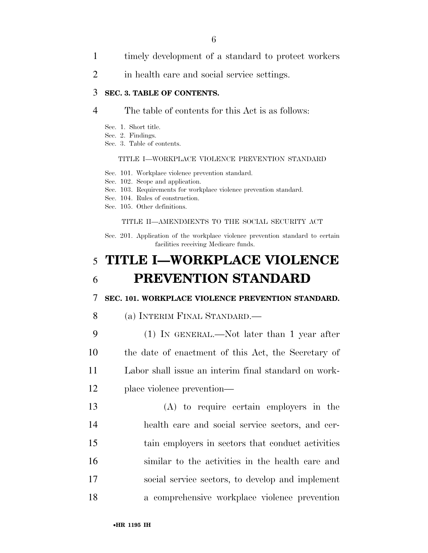- 1 timely development of a standard to protect workers
- 2 in health care and social service settings.

#### 3 **SEC. 3. TABLE OF CONTENTS.**

#### 4 The table of contents for this Act is as follows:

- Sec. 1. Short title.
- Sec. 2. Findings.
- Sec. 3. Table of contents.

#### TITLE I—WORKPLACE VIOLENCE PREVENTION STANDARD

- Sec. 101. Workplace violence prevention standard.
- Sec. 102. Scope and application.
- Sec. 103. Requirements for workplace violence prevention standard.
- Sec. 104. Rules of construction.
- Sec. 105. Other definitions.

#### TITLE II—AMENDMENTS TO THE SOCIAL SECURITY ACT

Sec. 201. Application of the workplace violence prevention standard to certain facilities receiving Medicare funds.

## 5 **TITLE I—WORKPLACE VIOLENCE**  6 **PREVENTION STANDARD**

#### 7 **SEC. 101. WORKPLACE VIOLENCE PREVENTION STANDARD.**

- 8 (a) INTERIM FINAL STANDARD.—
- 9 (1) IN GENERAL.—Not later than 1 year after 10 the date of enactment of this Act, the Secretary of 11 Labor shall issue an interim final standard on work-12 place violence prevention—
- 13 (A) to require certain employers in the 14 health care and social service sectors, and cer-15 tain employers in sectors that conduct activities 16 similar to the activities in the health care and 17 social service sectors, to develop and implement 18 a comprehensive workplace violence prevention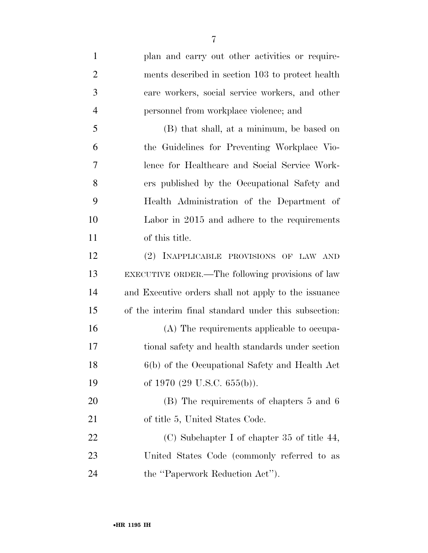| $\mathbf{1}$   | plan and carry out other activities or require-      |
|----------------|------------------------------------------------------|
| $\overline{2}$ | ments described in section 103 to protect health     |
| 3              | care workers, social service workers, and other      |
| $\overline{4}$ | personnel from workplace violence; and               |
| 5              | (B) that shall, at a minimum, be based on            |
| 6              | the Guidelines for Preventing Workplace Vio-         |
| 7              | lence for Healthcare and Social Service Work-        |
| 8              | ers published by the Occupational Safety and         |
| 9              | Health Administration of the Department of           |
| 10             | Labor in 2015 and adhere to the requirements         |
| 11             | of this title.                                       |
| 12             | (2) INAPPLICABLE PROVISIONS OF LAW AND               |
| 13             | EXECUTIVE ORDER.—The following provisions of law     |
| 14             | and Executive orders shall not apply to the issuance |
| 15             | of the interim final standard under this subsection: |
| 16             | (A) The requirements applicable to occupa-           |
| 17             | tional safety and health standards under section     |
| 18             | 6(b) of the Occupational Safety and Health Act       |
| 19             | of 1970 (29 U.S.C. $655(b)$ ).                       |
| 20             | (B) The requirements of chapters 5 and 6             |
| 21             | of title 5, United States Code.                      |
| 22             | $(C)$ Subchapter I of chapter 35 of title 44,        |
| 23             | United States Code (commonly referred to as          |
| 24             | the "Paperwork Reduction Act").                      |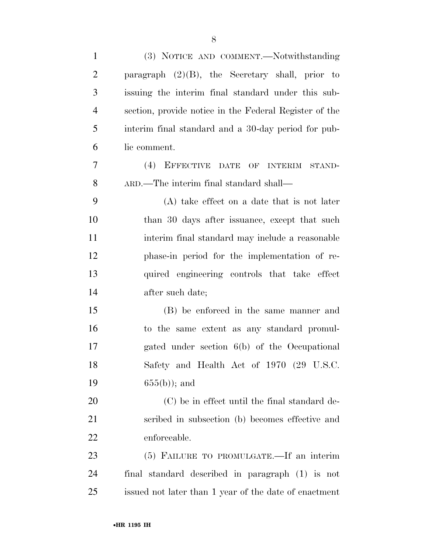| $\mathbf{1}$   | (3) NOTICE AND COMMENT.-Notwithstanding                |
|----------------|--------------------------------------------------------|
| $\overline{2}$ | paragraph $(2)(B)$ , the Secretary shall, prior to     |
| 3              | issuing the interim final standard under this sub-     |
| $\overline{4}$ | section, provide notice in the Federal Register of the |
| 5              | interim final standard and a 30-day period for pub-    |
| 6              | lic comment.                                           |
| $\overline{7}$ | (4) EFFECTIVE DATE OF INTERIM STAND-                   |
| 8              | ARD.—The interim final standard shall—                 |
| 9              | (A) take effect on a date that is not later            |
| 10             | than 30 days after issuance, except that such          |
| 11             | interim final standard may include a reasonable        |
| 12             | phase-in period for the implementation of re-          |
| 13             | quired engineering controls that take effect           |
| 14             | after such date;                                       |
| 15             | (B) be enforced in the same manner and                 |
| 16             | to the same extent as any standard promul-             |
| 17             | gated under section 6(b) of the Occupational           |
| 18             | Safety and Health Act of 1970 (29 U.S.C.               |
| 19             | $655(b)$ ; and                                         |
| 20             | (C) be in effect until the final standard de-          |
| 21             | scribed in subsection (b) becomes effective and        |
| 22             | enforceable.                                           |
| 23             | (5) FAILURE TO PROMULGATE.—If an interim               |
| 24             | final standard described in paragraph (1) is not       |
| 25             | issued not later than 1 year of the date of enactment  |
|                |                                                        |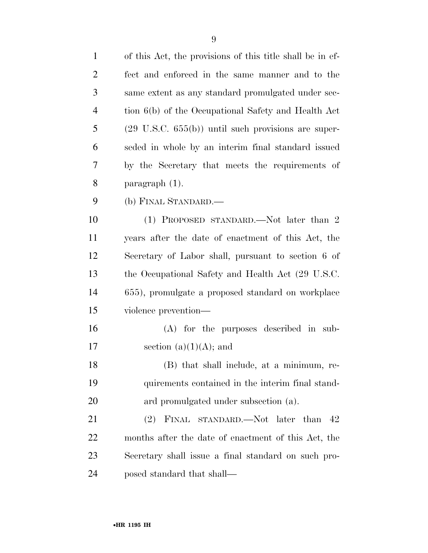| $\mathbf{1}$   | of this Act, the provisions of this title shall be in ef-      |
|----------------|----------------------------------------------------------------|
| $\overline{c}$ | fect and enforced in the same manner and to the                |
| 3              | same extent as any standard promulgated under sec-             |
| $\overline{4}$ | tion 6(b) of the Occupational Safety and Health Act            |
| 5              | $(29 \text{ U.S.C. } 655(b))$ until such provisions are super- |
| 6              | seded in whole by an interim final standard issued             |
| 7              | by the Secretary that meets the requirements of                |
| 8              | $\frac{1}{2}$ paragraph (1).                                   |
| 9              | (b) FINAL STANDARD.—                                           |
| 10             | (1) PROPOSED STANDARD.—Not later than 2                        |
| 11             | years after the date of enactment of this Act, the             |
| 12             | Secretary of Labor shall, pursuant to section 6 of             |
| 13             | the Occupational Safety and Health Act (29 U.S.C.)             |
| 14             | 655), promulgate a proposed standard on workplace              |
| 15             | violence prevention—                                           |
| 16             | $(A)$ for the purposes described in sub-                       |
| 17             | section $(a)(1)(A)$ ; and                                      |
| 18             | (B) that shall include, at a minimum, re-                      |
| 19             | quirements contained in the interim final stand-               |
| 20             | ard promulgated under subsection (a).                          |
| 21             | (2) FINAL STANDARD.—Not later than<br>- 42                     |
| 22             | months after the date of enactment of this Act, the            |
| 23             | Secretary shall issue a final standard on such pro-            |
| 24             | posed standard that shall—                                     |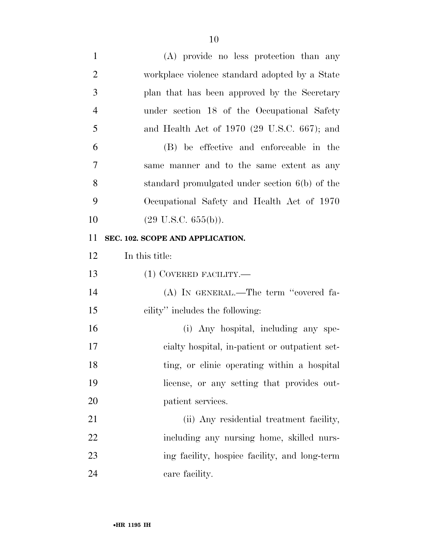| $\mathbf{1}$   | (A) provide no less protection than any                 |
|----------------|---------------------------------------------------------|
| $\overline{2}$ | workplace violence standard adopted by a State          |
| 3              | plan that has been approved by the Secretary            |
| $\overline{4}$ | under section 18 of the Occupational Safety             |
| 5              | and Health Act of 1970 $(29 \text{ U.S.C. } 667)$ ; and |
| 6              | (B) be effective and enforceable in the                 |
| 7              | same manner and to the same extent as any               |
| 8              | standard promulgated under section 6(b) of the          |
| 9              | Occupational Safety and Health Act of 1970              |
| 10             | $(29 \text{ U.S.C. } 655(b)).$                          |
| 11             | SEC. 102. SCOPE AND APPLICATION.                        |
| 12             | In this title:                                          |
|                |                                                         |
| 13             | $(1)$ COVERED FACILITY.—                                |
| 14             | (A) IN GENERAL.—The term "covered fa-                   |
| 15             | cility" includes the following:                         |
| 16             | (i) Any hospital, including any spe-                    |
| 17             | cialty hospital, in-patient or outpatient set-          |
| 18             | ting, or clinic operating within a hospital             |
| 19             | license, or any setting that provides out-              |
| 20             | patient services.                                       |
| 21             | (ii) Any residential treatment facility,                |
| 22             | including any nursing home, skilled nurs-               |
| 23             | ing facility, hospice facility, and long-term           |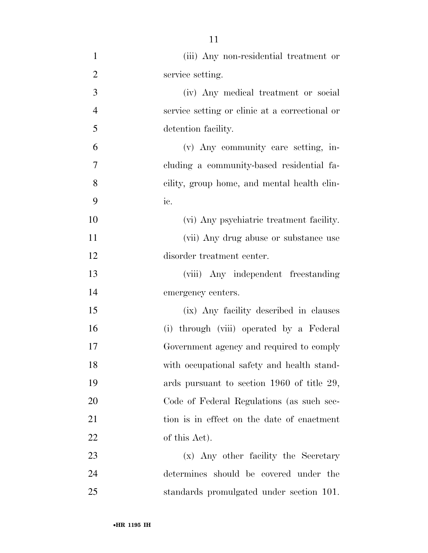| $\mathbf{1}$   | (iii) Any non-residential treatment or         |
|----------------|------------------------------------------------|
| $\overline{2}$ | service setting.                               |
| 3              | (iv) Any medical treatment or social           |
| $\overline{4}$ | service setting or clinic at a correctional or |
| 5              | detention facility.                            |
| 6              | (v) Any community care setting, in-            |
| $\overline{7}$ | cluding a community-based residential fa-      |
| 8              | cility, group home, and mental health clin-    |
| 9              | ic.                                            |
| 10             | (vi) Any psychiatric treatment facility.       |
| 11             | (vii) Any drug abuse or substance use          |
| 12             | disorder treatment center.                     |
| 13             | (viii) Any independent freestanding            |
| 14             | emergency centers.                             |
| 15             | (ix) Any facility described in clauses         |
| 16             | (i) through (viii) operated by a Federal       |
| 17             | Government agency and required to comply       |
| 18             | with occupational safety and health stand-     |
| 19             | ards pursuant to section 1960 of title 29,     |
| 20             | Code of Federal Regulations (as such sec-      |
| 21             | tion is in effect on the date of enactment     |
| 22             | of this Act).                                  |
| 23             | (x) Any other facility the Secretary           |
| 24             | determines should be covered under the         |
| 25             | standards promulgated under section 101.       |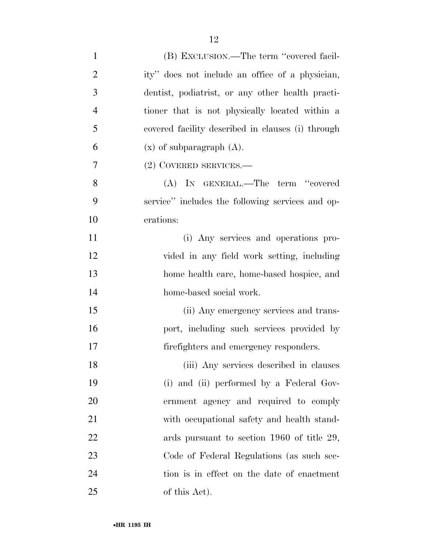| $\mathbf{1}$   | (B) EXCLUSION.—The term "covered facil-           |
|----------------|---------------------------------------------------|
| $\overline{2}$ | ity" does not include an office of a physician,   |
| 3              | dentist, podiatrist, or any other health practi-  |
| $\overline{4}$ | tioner that is not physically located within a    |
| 5              | covered facility described in clauses (i) through |
| 6              | $(x)$ of subparagraph $(A)$ .                     |
| 7              | (2) COVERED SERVICES.—                            |
| 8              | (A) IN GENERAL.—The term "covered                 |
| 9              | service" includes the following services and op-  |
| 10             | erations:                                         |
| 11             | (i) Any services and operations pro-              |
| 12             | vided in any field work setting, including        |
| 13             | home health care, home-based hospice, and         |
| 14             | home-based social work.                           |
| 15             | (ii) Any emergency services and trans-            |
| 16             | port, including such services provided by         |
| 17             | firefighters and emergency responders.            |
| 18             | (iii) Any services described in clauses           |
| 19             | (i) and (ii) performed by a Federal Gov-          |
| 20             | ernment agency and required to comply             |
| 21             | with occupational safety and health stand-        |
| 22             | ards pursuant to section 1960 of title 29,        |
| 23             | Code of Federal Regulations (as such sec-         |
| 24             | tion is in effect on the date of enactment        |
| 25             | of this Act).                                     |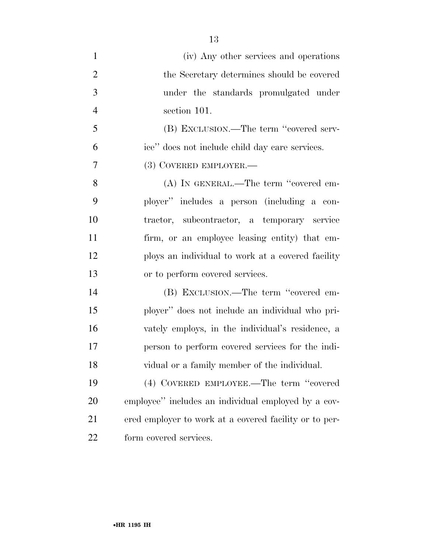(iv) Any other services and operations 2 the Secretary determines should be covered under the standards promulgated under section 101. (B) EXCLUSION.—The term ''covered serv- ice'' does not include child day care services. (3) COVERED EMPLOYER.— (A) IN GENERAL.—The term ''covered em- ployer'' includes a person (including a con- tractor, subcontractor, a temporary service firm, or an employee leasing entity) that em- ploys an individual to work at a covered facility or to perform covered services. (B) EXCLUSION.—The term ''covered em- ployer'' does not include an individual who pri- vately employs, in the individual's residence, a person to perform covered services for the indi- vidual or a family member of the individual. (4) COVERED EMPLOYEE.—The term ''covered employee'' includes an individual employed by a cov- ered employer to work at a covered facility or to per-form covered services.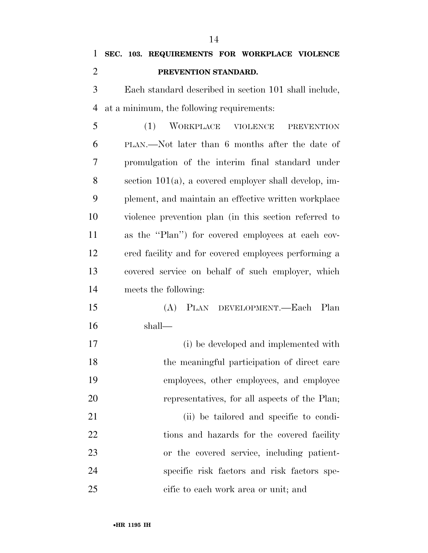|   |               | 1 SEC. 103. REQUIREMENTS FOR WORKPLACE VIOLENCE       |  |  |
|---|---------------|-------------------------------------------------------|--|--|
| 2 |               | PREVENTION STANDARD.                                  |  |  |
|   | $\mathcal{E}$ | Each standard described in section 101 shall include, |  |  |

at a minimum, the following requirements:

 (1) WORKPLACE VIOLENCE PREVENTION PLAN.—Not later than 6 months after the date of promulgation of the interim final standard under section 101(a), a covered employer shall develop, im- plement, and maintain an effective written workplace violence prevention plan (in this section referred to as the ''Plan'') for covered employees at each cov- ered facility and for covered employees performing a covered service on behalf of such employer, which meets the following:

- (A) PLAN DEVELOPMENT.—Each Plan shall—
- (i) be developed and implemented with the meaningful participation of direct care employees, other employees, and employee representatives, for all aspects of the Plan; (ii) be tailored and specific to condi-22 tions and hazards for the covered facility or the covered service, including patient- specific risk factors and risk factors spe-cific to each work area or unit; and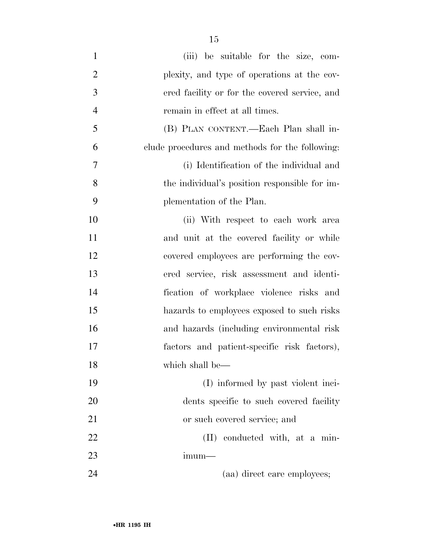- (iii) be suitable for the size, com- plexity, and type of operations at the cov- ered facility or for the covered service, and remain in effect at all times. (B) PLAN CONTENT.—Each Plan shall in- clude procedures and methods for the following: (i) Identification of the individual and the individual's position responsible for im- plementation of the Plan. 10 (ii) With respect to each work area 11 and unit at the covered facility or while covered employees are performing the cov- ered service, risk assessment and identi- fication of workplace violence risks and hazards to employees exposed to such risks and hazards (including environmental risk factors and patient-specific risk factors), which shall be— (I) informed by past violent inci- dents specific to such covered facility or such covered service; and 22 (II) conducted with, at a min-
- imum—
- 24 (aa) direct care employees;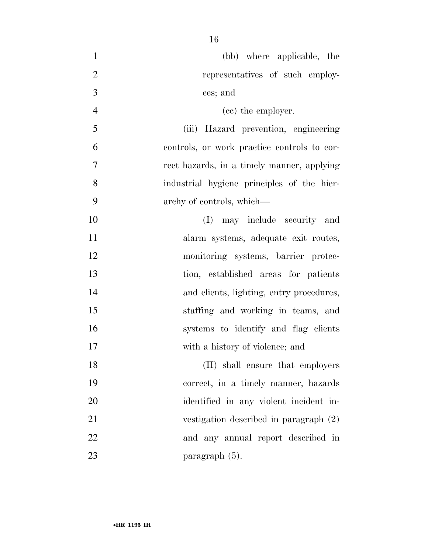| $\mathbf{1}$   | (bb) where applicable, the                  |
|----------------|---------------------------------------------|
| $\overline{2}$ | representatives of such employ-             |
| 3              | ees; and                                    |
| $\overline{4}$ | (cc) the employer.                          |
| 5              | (iii) Hazard prevention, engineering        |
| 6              | controls, or work practice controls to cor- |
| $\overline{7}$ | rect hazards, in a timely manner, applying  |
| 8              | industrial hygiene principles of the hier-  |
| 9              | archy of controls, which—                   |
| 10             | may include security and<br>(I)             |
| 11             | alarm systems, adequate exit routes,        |
| 12             | monitoring systems, barrier protec-         |
| 13             | tion, established areas for patients        |
| 14             | and clients, lighting, entry procedures,    |
| 15             | staffing and working in teams, and          |
| 16             | systems to identify and flag clients        |
| 17             | with a history of violence; and             |
| 18             | (II) shall ensure that employers            |
| 19             | correct, in a timely manner, hazards        |
| 20             | identified in any violent incident in-      |
| 21             | vestigation described in paragraph (2)      |
| 22             | and any annual report described in          |
| 23             | paragraph (5).                              |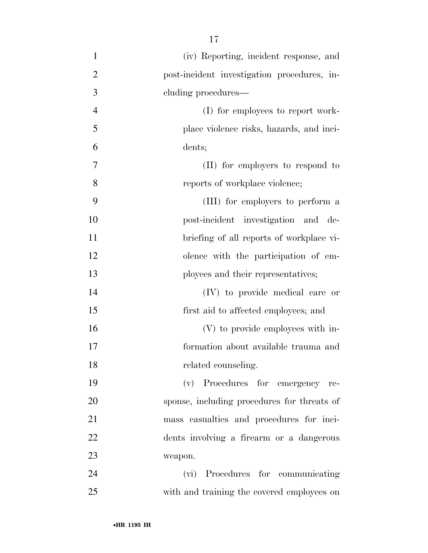(iv) Reporting, incident response, and post-incident investigation procedures, in- cluding procedures— 4 (I) for employees to report work- place violence risks, hazards, and inci- dents; (II) for employers to respond to **8** reports of workplace violence; (III) for employers to perform a post-incident investigation and de- briefing of all reports of workplace vi- olence with the participation of em-13 ployees and their representatives; (IV) to provide medical care or first aid to affected employees; and (V) to provide employees with in- formation about available trauma and 18 related counseling. (v) Procedures for emergency re- sponse, including procedures for threats of mass casualties and procedures for inci- dents involving a firearm or a dangerous weapon. (vi) Procedures for communicating with and training the covered employees on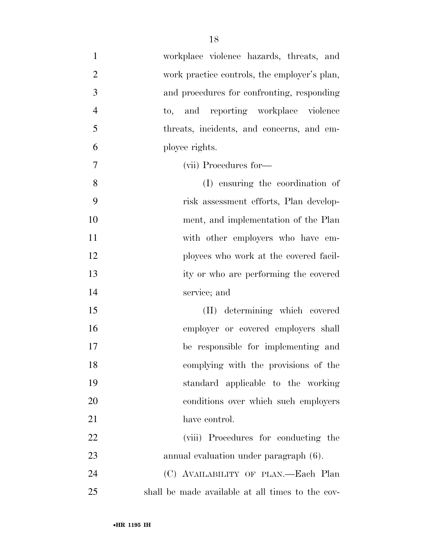| $\mathbf{1}$   | workplace violence hazards, threats, and         |
|----------------|--------------------------------------------------|
| $\overline{2}$ | work practice controls, the employer's plan,     |
| 3              | and procedures for confronting, responding       |
| $\overline{4}$ | to, and reporting workplace violence             |
| 5              | threats, incidents, and concerns, and em-        |
| 6              | ployee rights.                                   |
| 7              | (vii) Procedures for-                            |
| 8              | (I) ensuring the coordination of                 |
| 9              | risk assessment efforts, Plan develop-           |
| 10             | ment, and implementation of the Plan             |
| 11             | with other employers who have em-                |
| 12             | ployees who work at the covered facil-           |
| 13             | ity or who are performing the covered            |
| 14             | service; and                                     |
| 15             | (II) determining which covered                   |
| 16             | employer or covered employers shall              |
| 17             | be responsible for implementing and              |
| 18             | complying with the provisions of the             |
| 19             | standard applicable to the working               |
| 20             | conditions over which such employers             |
| 21             | have control.                                    |
| 22             | (viii) Procedures for conducting the             |
| 23             | annual evaluation under paragraph (6).           |
| 24             | (C) AVAILABILITY OF PLAN.—Each Plan              |
| 25             | shall be made available at all times to the cov- |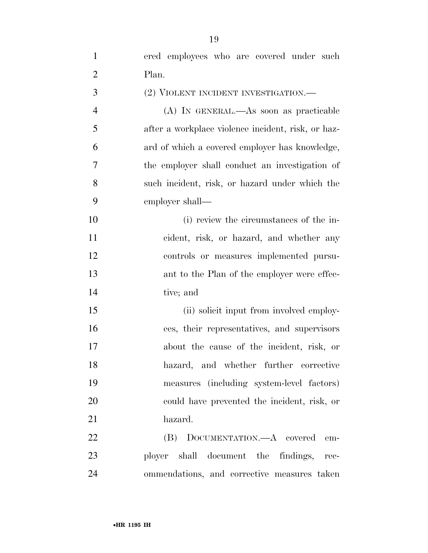| $\mathbf{1}$   | ered employees who are covered under such          |
|----------------|----------------------------------------------------|
| $\overline{2}$ | Plan.                                              |
| 3              | (2) VIOLENT INCIDENT INVESTIGATION.—               |
| $\overline{4}$ | (A) IN GENERAL.—As soon as practicable             |
| 5              | after a workplace violence incident, risk, or haz- |
| 6              | ard of which a covered employer has knowledge,     |
| $\overline{7}$ | the employer shall conduct an investigation of     |
| 8              | such incident, risk, or hazard under which the     |
| 9              | employer shall—                                    |
| 10             | (i) review the circumstances of the in-            |
| 11             | cident, risk, or hazard, and whether any           |
| 12             | controls or measures implemented pursu-            |
| 13             | ant to the Plan of the employer were effec-        |
| 14             | tive; and                                          |
| 15             | (ii) solicit input from involved employ-           |
| 16             | ees, their representatives, and supervisors        |
| 17             | about the cause of the incident, risk, or          |
| 18             | hazard, and whether further corrective             |
| 19             | measures (including system-level factors)          |
| 20             | could have prevented the incident, risk, or        |
| 21             | hazard.                                            |
| 22             | (B) DOCUMENTATION.—A covered<br>em-                |
| 23             | ployer shall document the findings,<br>rec-        |
| 24             | ommendations, and corrective measures taken        |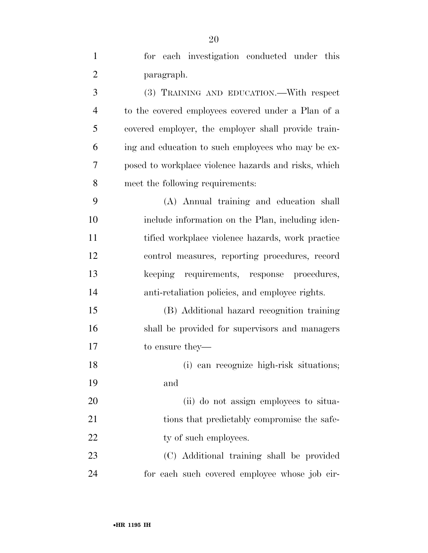| $\mathbf{1}$   | for each investigation conducted under this          |
|----------------|------------------------------------------------------|
| $\overline{2}$ | paragraph.                                           |
| 3              | (3) TRAINING AND EDUCATION.—With respect             |
| $\overline{4}$ | to the covered employees covered under a Plan of a   |
| 5              | covered employer, the employer shall provide train-  |
| 6              | ing and education to such employees who may be ex-   |
| 7              | posed to workplace violence hazards and risks, which |
| 8              | meet the following requirements:                     |
| 9              | (A) Annual training and education shall              |
| 10             | include information on the Plan, including iden-     |
| 11             | tified workplace violence hazards, work practice     |
| 12             | control measures, reporting procedures, record       |
| 13             | keeping requirements, response procedures,           |
| 14             | anti-retaliation policies, and employee rights.      |
| 15             | (B) Additional hazard recognition training           |
| 16             | shall be provided for supervisors and managers       |
| 17             | to ensure they—                                      |
| 18             | (i) can recognize high-risk situations;              |
| 19             | and                                                  |
| 20             | (ii) do not assign employees to situa-               |
| 21             | tions that predictably compromise the safe-          |
| 22             | ty of such employees.                                |
| 23             | (C) Additional training shall be provided            |
| 24             | for each such covered employee whose job cir-        |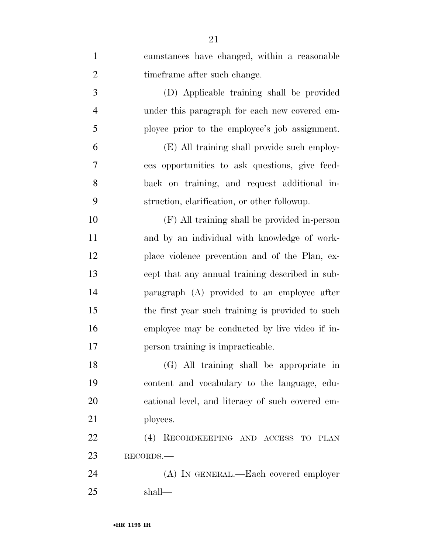| $\mathbf{1}$   | cumstances have changed, within a reasonable     |
|----------------|--------------------------------------------------|
| $\overline{2}$ | time frame after such change.                    |
| 3              | (D) Applicable training shall be provided        |
| $\overline{4}$ | under this paragraph for each new covered em-    |
| 5              | ployee prior to the employee's job assignment.   |
| 6              | (E) All training shall provide such employ-      |
| 7              | ees opportunities to ask questions, give feed-   |
| 8              | back on training, and request additional in-     |
| 9              | struction, clarification, or other followup.     |
| 10             | (F) All training shall be provided in-person     |
| 11             | and by an individual with knowledge of work-     |
| 12             | place violence prevention and of the Plan, ex-   |
| 13             | cept that any annual training described in sub-  |
| 14             | paragraph (A) provided to an employee after      |
| 15             | the first year such training is provided to such |
| 16             | employee may be conducted by live video if in-   |
| 17             | person training is impracticable.                |
| 18             | (G) All training shall be appropriate in         |
| 19             | content and vocabulary to the language, edu-     |
| 20             | cational level, and literacy of such covered em- |
| 21             | ployees.                                         |
| 22             | (4) RECORDKEEPING AND ACCESS TO PLAN             |
| 23             | RECORDS.                                         |
| 24             | (A) IN GENERAL.—Each covered employer            |
| 25             | shall—                                           |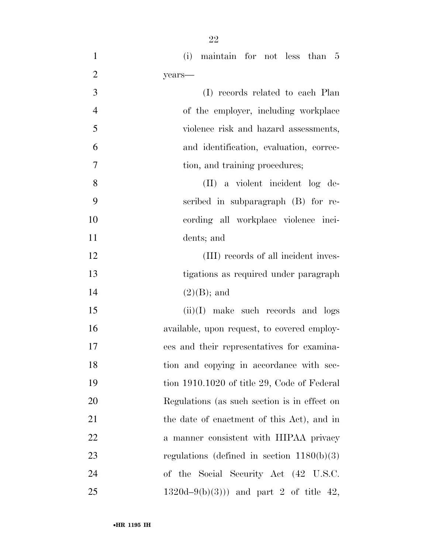| $\mathbf{1}$   | (i) maintain for not less than 5             |
|----------------|----------------------------------------------|
| $\overline{2}$ | years-                                       |
| 3              | (I) records related to each Plan             |
| $\overline{4}$ | of the employer, including workplace         |
| 5              | violence risk and hazard assessments,        |
| 6              | and identification, evaluation, correc-      |
| 7              | tion, and training procedures;               |
| 8              | (II) a violent incident log de-              |
| 9              | scribed in subparagraph (B) for re-          |
| 10             | cording all workplace violence inci-         |
| 11             | dents; and                                   |
| 12             | (III) records of all incident inves-         |
| 13             | tigations as required under paragraph        |
| 14             | $(2)(B)$ ; and                               |
| 15             | $(ii)(I)$ make such records and logs         |
| 16             | available, upon request, to covered employ-  |
| 17             | ees and their representatives for examina-   |
| 18             | tion and copying in accordance with sec-     |
| 19             | tion 1910.1020 of title 29, Code of Federal  |
| 20             | Regulations (as such section is in effect on |
| 21             | the date of enactment of this Act), and in   |
| 22             | a manner consistent with HIPAA privacy       |
| 23             | regulations (defined in section $1180(b)(3)$ |
| 24             | of the Social Security Act (42 U.S.C.        |
| 25             | $1320d-9(b)(3))$ and part 2 of title 42,     |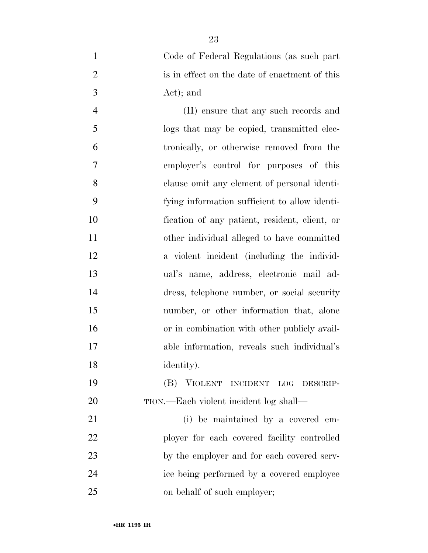Code of Federal Regulations (as such part 2 is in effect on the date of enactment of this Act); and

 (II) ensure that any such records and logs that may be copied, transmitted elec- tronically, or otherwise removed from the employer's control for purposes of this clause omit any element of personal identi- fying information sufficient to allow identi- fication of any patient, resident, client, or other individual alleged to have committed a violent incident (including the individ- ual's name, address, electronic mail ad- dress, telephone number, or social security number, or other information that, alone or in combination with other publicly avail- able information, reveals such individual's identity).

 (B) VIOLENT INCIDENT LOG DESCRIP-TION.—Each violent incident log shall—

 (i) be maintained by a covered em- ployer for each covered facility controlled by the employer and for each covered serv- ice being performed by a covered employee on behalf of such employer;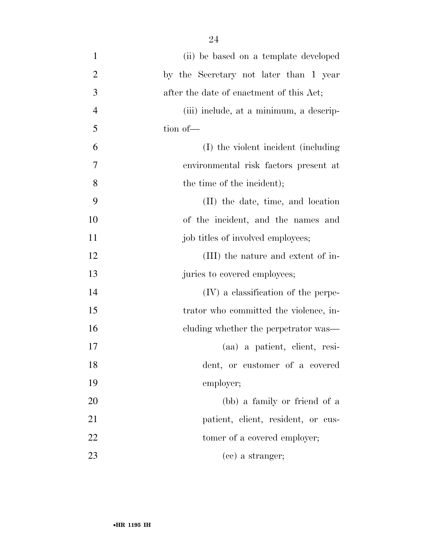| $\mathbf{1}$   | (ii) be based on a template developed    |
|----------------|------------------------------------------|
| $\overline{2}$ | by the Secretary not later than 1 year   |
| 3              | after the date of enactment of this Act; |
| $\overline{4}$ | (iii) include, at a minimum, a descrip-  |
| 5              | tion of-                                 |
| 6              | (I) the violent incident (including      |
| 7              | environmental risk factors present at    |
| 8              | the time of the incident);               |
| 9              | (II) the date, time, and location        |
| 10             | of the incident, and the names and       |
| 11             | job titles of involved employees;        |
| 12             | (III) the nature and extent of in-       |
| 13             | juries to covered employees;             |
| 14             | (IV) a classification of the perpe-      |
| 15             | trator who committed the violence, in-   |
| 16             | cluding whether the perpetrator was—     |
| 17             | (aa) a patient, client, resi-            |
| 18             | dent, or customer of a covered           |
| 19             | employer;                                |
| 20             | (bb) a family or friend of a             |
| 21             | patient, client, resident, or cus-       |
| 22             | tomer of a covered employer;             |
| 23             | (cc) a stranger;                         |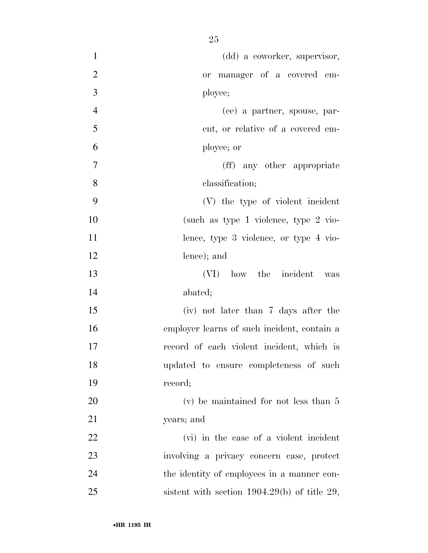| $\mathbf{1}$   | (dd) a coworker, supervisor,                   |
|----------------|------------------------------------------------|
| $\overline{2}$ | or manager of a covered em-                    |
| 3              | ployee;                                        |
| $\overline{4}$ | (ee) a partner, spouse, par-                   |
| 5              | ent, or relative of a covered em-              |
| 6              | ployee; or                                     |
| $\overline{7}$ | (ff) any other appropriate                     |
| 8              | classification;                                |
| 9              | (V) the type of violent incident               |
| 10             | (such as type 1 violence, type $2$ vio-        |
| 11             | lence, type 3 violence, or type 4 vio-         |
| 12             | lence); and                                    |
| 13             | (VI) how the incident was                      |
| 14             | abated;                                        |
| 15             | (iv) not later than 7 days after the           |
| 16             | employer learns of such incident, contain a    |
| 17             | record of each violent incident, which is      |
| 18             | updated to ensure completeness of such         |
| 19             | record;                                        |
| 20             | $(v)$ be maintained for not less than 5        |
| 21             | years; and                                     |
| <u>22</u>      | (vi) in the case of a violent incident         |
| 23             | involving a privacy concern case, protect      |
| 24             | the identity of employees in a manner con-     |
| 25             | sistent with section $1904.29(b)$ of title 29, |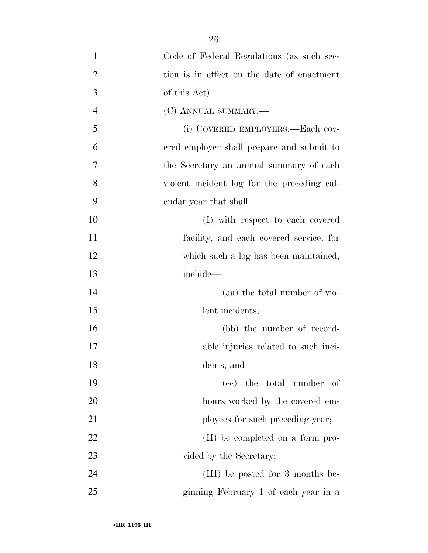| $\mathbf{1}$   | Code of Federal Regulations (as such sec-   |
|----------------|---------------------------------------------|
| $\overline{2}$ | tion is in effect on the date of enactment  |
| 3              | of this Act).                               |
| $\overline{4}$ | (C) ANNUAL SUMMARY.—                        |
| 5              | (i) COVERED EMPLOYERS.—Each cov-            |
| 6              | ered employer shall prepare and submit to   |
| 7              | the Secretary an annual summary of each     |
| 8              | violent incident log for the preceding cal- |
| 9              | endar year that shall—                      |
| 10             | (I) with respect to each covered            |
| 11             | facility, and each covered service, for     |
| 12             | which such a log has been maintained,       |
| 13             | include-                                    |
| 14             | (aa) the total number of vio-               |
| 15             | lent incidents;                             |
| 16             | (bb) the number of record-                  |
| 17             | able injuries related to such inci-         |
| 18             | dents; and                                  |
| 19             | (cc) the total number of                    |
| 20             | hours worked by the covered em-             |
| 21             | ployees for such preceding year;            |
| 22             | (II) be completed on a form pro-            |
| 23             | vided by the Secretary;                     |
| 24             | (III) be posted for 3 months be-            |
| 25             | ginning February 1 of each year in a        |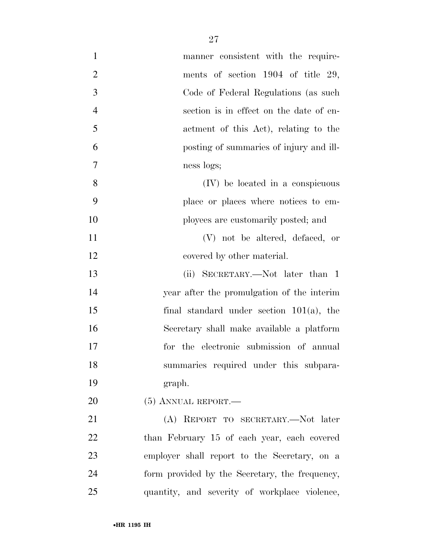| $\mathbf{1}$   | manner consistent with the require-            |
|----------------|------------------------------------------------|
| $\overline{2}$ | ments of section 1904 of title 29,             |
| 3              | Code of Federal Regulations (as such           |
| $\overline{4}$ | section is in effect on the date of en-        |
| 5              | actment of this Act), relating to the          |
| 6              | posting of summaries of injury and ill-        |
| 7              | ness logs;                                     |
| 8              | (IV) be located in a conspicuous               |
| 9              | place or places where notices to em-           |
| 10             | ployees are customarily posted; and            |
| 11             | (V) not be altered, defaced, or                |
| 12             | covered by other material.                     |
| 13             | (ii) SECRETARY.—Not later than 1               |
| 14             | year after the promulgation of the interim     |
| 15             | final standard under section $101(a)$ , the    |
| 16             | Secretary shall make available a platform      |
| 17             | for the electronic submission of annual        |
| 18             | summaries required under this subpara-         |
| 19             | graph.                                         |
| 20             | $(5)$ ANNUAL REPORT.—                          |
| 21             | (A) REPORT TO SECRETARY.—Not later             |
| 22             | than February 15 of each year, each covered    |
| 23             | employer shall report to the Secretary, on a   |
| 24             | form provided by the Secretary, the frequency, |
| 25             | quantity, and severity of workplace violence,  |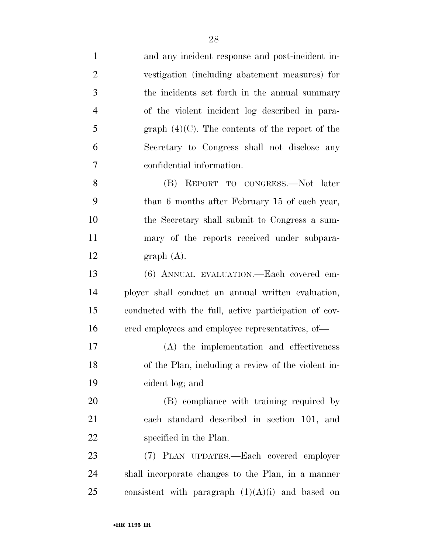| $\mathbf{1}$   | and any incident response and post-incident in-       |
|----------------|-------------------------------------------------------|
| $\overline{2}$ | vestigation (including abatement measures) for        |
| 3              | the incidents set forth in the annual summary         |
| $\overline{4}$ | of the violent incident log described in para-        |
| 5              | graph $(4)(C)$ . The contents of the report of the    |
| 6              | Secretary to Congress shall not disclose any          |
| 7              | confidential information.                             |
| 8              | (B) REPORT TO CONGRESS.—Not later                     |
| 9              | than 6 months after February 15 of each year,         |
| 10             | the Secretary shall submit to Congress a sum-         |
| 11             | mary of the reports received under subpara-           |
| 12             | graph(A).                                             |
| 13             | (6) ANNUAL EVALUATION.—Each covered em-               |
| 14             | ployer shall conduct an annual written evaluation,    |
| 15             | conducted with the full, active participation of cov- |
| 16             | ered employees and employee representatives, of—      |
| 17             | (A) the implementation and effectiveness              |
| 18             | of the Plan, including a review of the violent in-    |
| 19             | cident log; and                                       |
| $20\,$         | (B) compliance with training required by              |
| 21             | each standard described in section 101, and           |
| 22             | specified in the Plan.                                |
| 23             | (7) PLAN UPDATES.—Each covered employer               |
| 24             | shall incorporate changes to the Plan, in a manner    |
| 25             | consistent with paragraph $(1)(A)(i)$ and based on    |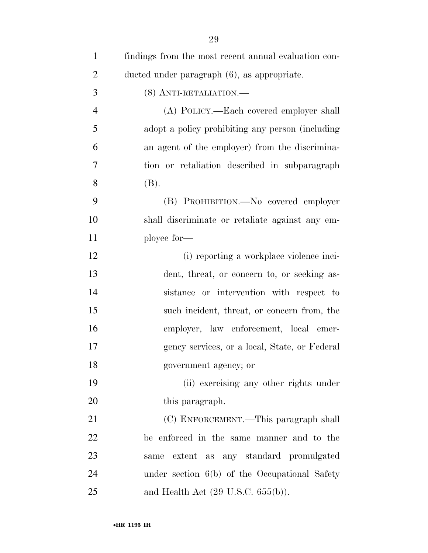| $\mathbf{1}$   | findings from the most recent annual evaluation con- |
|----------------|------------------------------------------------------|
| $\overline{2}$ | ducted under paragraph (6), as appropriate.          |
| 3              | (8) ANTI-RETALIATION.—                               |
| $\overline{4}$ | (A) POLICY.—Each covered employer shall              |
| 5              | adopt a policy prohibiting any person (including     |
| 6              | an agent of the employer) from the discrimina-       |
| 7              | tion or retaliation described in subparagraph        |
| 8              | (B).                                                 |
| 9              | (B) PROHIBITION.—No covered employer                 |
| 10             | shall discriminate or retaliate against any em-      |
| 11             | ployee for-                                          |
| 12             | (i) reporting a workplace violence inci-             |
| 13             | dent, threat, or concern to, or seeking as-          |
| 14             | sistance or intervention with respect to             |
| 15             | such incident, threat, or concern from, the          |
| 16             | employer, law enforcement, local emer-               |
| 17             | gency services, or a local, State, or Federal        |
| 18             | government agency; or                                |
| 19             | (ii) exercising any other rights under               |
| 20             | this paragraph.                                      |
| 21             | (C) ENFORCEMENT.—This paragraph shall                |
| 22             | be enforced in the same manner and to the            |
| 23             | extent as any standard promulgated<br>same           |
| 24             | under section $6(b)$ of the Occupational Safety      |
| 25             | and Health Act $(29 \text{ U.S.C. } 655(b))$ .       |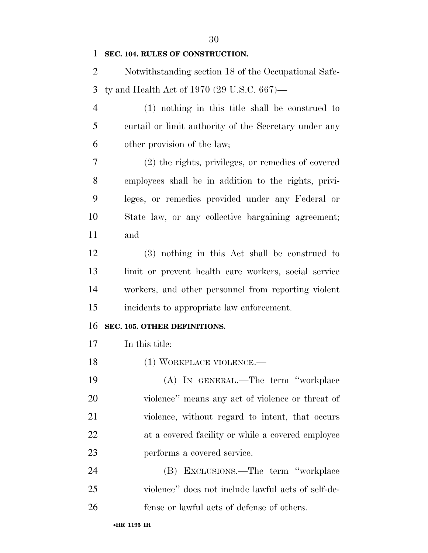#### **SEC. 104. RULES OF CONSTRUCTION.**

 Notwithstanding section 18 of the Occupational Safe-ty and Health Act of 1970 (29 U.S.C. 667)—

 (1) nothing in this title shall be construed to curtail or limit authority of the Secretary under any other provision of the law;

 (2) the rights, privileges, or remedies of covered employees shall be in addition to the rights, privi- leges, or remedies provided under any Federal or State law, or any collective bargaining agreement; and

 (3) nothing in this Act shall be construed to limit or prevent health care workers, social service workers, and other personnel from reporting violent incidents to appropriate law enforcement.

#### **SEC. 105. OTHER DEFINITIONS.**

In this title:

18 (1) WORKPLACE VIOLENCE.—

 (A) IN GENERAL.—The term ''workplace violence'' means any act of violence or threat of violence, without regard to intent, that occurs at a covered facility or while a covered employee performs a covered service.

 (B) EXCLUSIONS.—The term ''workplace violence'' does not include lawful acts of self-de-fense or lawful acts of defense of others.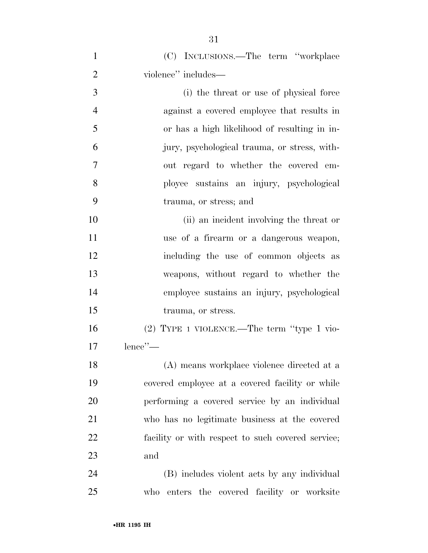| $\mathbf{1}$   | (C) INCLUSIONS.—The term "workplace               |
|----------------|---------------------------------------------------|
| $\overline{2}$ | violence" includes—                               |
| 3              | (i) the threat or use of physical force           |
| $\overline{4}$ | against a covered employee that results in        |
| 5              | or has a high likelihood of resulting in in-      |
| 6              | jury, psychological trauma, or stress, with-      |
| 7              | out regard to whether the covered em-             |
| 8              | ployee sustains an injury, psychological          |
| 9              | trauma, or stress; and                            |
| 10             | (ii) an incident involving the threat or          |
| 11             | use of a firearm or a dangerous weapon,           |
| 12             | including the use of common objects as            |
| 13             | weapons, without regard to whether the            |
| 14             | employee sustains an injury, psychological        |
| 15             | trauma, or stress.                                |
| 16             | $(2)$ TYPE 1 VIOLENCE.—The term "type 1 vio-      |
| 17             | lence'                                            |
| 18             | (A) means workplace violence directed at a        |
| 19             | covered employee at a covered facility or while   |
| 20             | performing a covered service by an individual     |
| 21             | who has no legitimate business at the covered     |
| 22             | facility or with respect to such covered service; |
| 23             | and                                               |
| 24             | (B) includes violent acts by any individual       |
| 25             | who enters the covered facility or worksite       |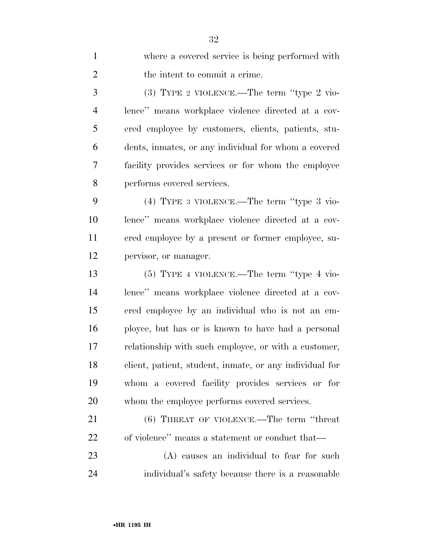| $\mathbf{1}$   | where a covered service is being performed with         |
|----------------|---------------------------------------------------------|
| $\overline{2}$ | the intent to commit a crime.                           |
| 3              | $(3)$ TYPE 2 VIOLENCE.—The term "type 2 vio-            |
| $\overline{4}$ | lence" means workplace violence directed at a cov-      |
| 5              | ered employee by customers, clients, patients, stu-     |
| 6              | dents, inmates, or any individual for whom a covered    |
| 7              | facility provides services or for whom the employee     |
| 8              | performs covered services.                              |
| 9              | $(4)$ TYPE 3 VIOLENCE.—The term "type 3 vio-            |
| 10             | lence" means workplace violence directed at a cov-      |
| 11             | ered employee by a present or former employee, su-      |
| 12             | pervisor, or manager.                                   |
| 13             | $(5)$ TYPE 4 VIOLENCE.—The term "type 4 vio-            |
| 14             | lence" means workplace violence directed at a cov-      |
| 15             | ered employee by an individual who is not an em-        |
| 16             | ployee, but has or is known to have had a personal      |
| 17             | relationship with such employee, or with a customer,    |
| 18             | client, patient, student, inmate, or any individual for |
| 19             | whom a covered facility provides services or for        |
| 20             | whom the employee performs covered services.            |
| 21             | $(6)$ THREAT OF VIOLENCE.—The term "threat"             |
| 22             | of violence" means a statement or conduct that—         |
| 23             | (A) causes an individual to fear for such               |
| 24             | individual's safety because there is a reasonable       |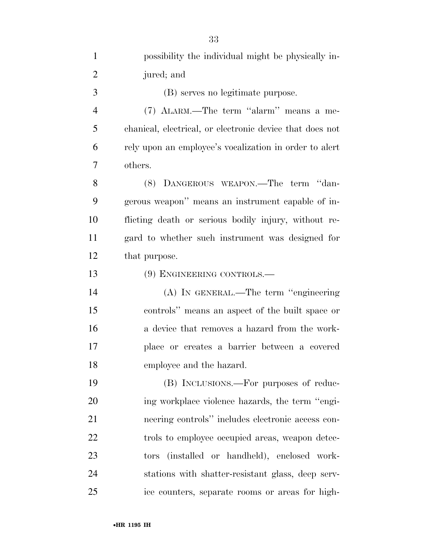| $\mathbf{1}$   | possibility the individual might be physically in-       |
|----------------|----------------------------------------------------------|
| $\overline{2}$ | jured; and                                               |
| 3              | (B) serves no legitimate purpose.                        |
| $\overline{4}$ | (7) ALARM.—The term "alarm" means a me-                  |
| 5              | chanical, electrical, or electronic device that does not |
| 6              | rely upon an employee's vocalization in order to alert   |
| 7              | others.                                                  |
| 8              | (8) DANGEROUS WEAPON.—The term "dan-                     |
| 9              | gerous weapon" means an instrument capable of in-        |
| 10             | flicting death or serious bodily injury, without re-     |
| 11             | gard to whether such instrument was designed for         |
| 12             | that purpose.                                            |
| 13             | (9) ENGINEERING CONTROLS.—                               |
| 14             | (A) IN GENERAL.—The term "engineering                    |
| 15             | controls" means an aspect of the built space or          |
| 16             | a device that removes a hazard from the work-            |
| 17             | place or creates a barrier between a covered             |
| 18             | employee and the hazard.                                 |
| 19             | (B) INCLUSIONS.—For purposes of reduc-                   |
| 20             | ing workplace violence hazards, the term "engi-          |
| 21             | neering controls" includes electronic access con-        |
| 22             | trols to employee occupied areas, weapon detec-          |
| 23             | tors (installed or handheld), enclosed work-             |
| 24             | stations with shatter-resistant glass, deep serv-        |
| 25             | ice counters, separate rooms or areas for high-          |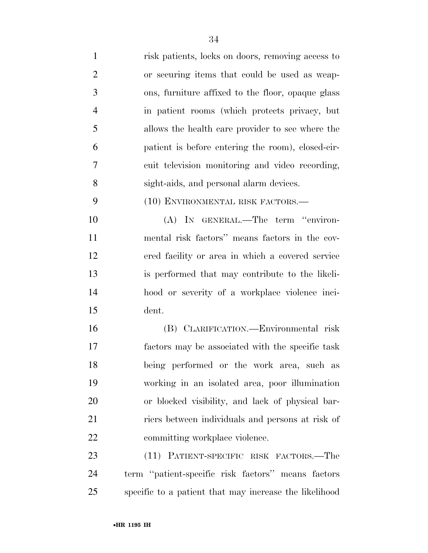| $\mathbf{1}$   | risk patients, locks on doors, removing access to      |
|----------------|--------------------------------------------------------|
| $\overline{2}$ | or securing items that could be used as weap-          |
| 3              | ons, furniture affixed to the floor, opaque glass      |
| $\overline{4}$ | in patient rooms (which protects privacy, but          |
| 5              | allows the health care provider to see where the       |
| 6              | patient is before entering the room), closed-cir-      |
| 7              | cuit television monitoring and video recording,        |
| 8              | sight-aids, and personal alarm devices.                |
| 9              | (10) ENVIRONMENTAL RISK FACTORS.—                      |
| 10             | (A) IN GENERAL.—The term "environ-                     |
| 11             | mental risk factors" means factors in the cov-         |
| 12             | ered facility or area in which a covered service       |
| 13             | is performed that may contribute to the likeli-        |
| 14             | hood or severity of a workplace violence inci-         |
| 15             | dent.                                                  |
| 16             | (B) CLARIFICATION.-Environmental risk                  |
| 17             | factors may be associated with the specific task       |
| 18             | being performed or the work area, such as              |
| 19             | working in an isolated area, poor illumination         |
| 20             | or blocked visibility, and lack of physical bar-       |
| 21             | riers between individuals and persons at risk of       |
| 22             | committing workplace violence.                         |
| 23             | (11) PATIENT-SPECIFIC RISK FACTORS.—The                |
| 24             | term "patient-specific risk factors" means factors     |
| 25             | specific to a patient that may increase the likelihood |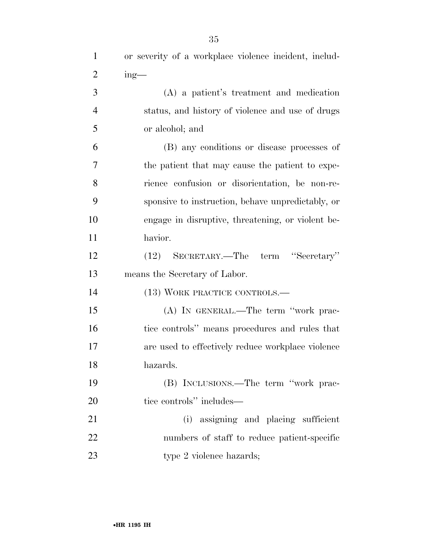| $\mathbf{1}$   | or severity of a workplace violence incident, includ- |
|----------------|-------------------------------------------------------|
| $\overline{2}$ | $ing$ —                                               |
| 3              | (A) a patient's treatment and medication              |
| $\overline{4}$ | status, and history of violence and use of drugs      |
| 5              | or alcohol; and                                       |
| 6              | (B) any conditions or disease processes of            |
| $\overline{7}$ | the patient that may cause the patient to expe-       |
| 8              | rience confusion or disorientation, be non-re-        |
| 9              | sponsive to instruction, behave unpredictably, or     |
| 10             | engage in disruptive, threatening, or violent be-     |
| 11             | havior.                                               |
| 12             | (12) SECRETARY.—The term "Secretary"                  |
| 13             | means the Secretary of Labor.                         |
| 14             | (13) WORK PRACTICE CONTROLS.-                         |
| 15             | (A) IN GENERAL.—The term "work prac-                  |
| 16             | tice controls" means procedures and rules that        |
| 17             | are used to effectively reduce workplace violence     |
| 18             | hazards.                                              |
| 19             | (B) INCLUSIONS.—The term "work prac-                  |
| 20             | tice controls" includes—                              |
| 21             | (i) assigning and placing sufficient                  |
| 22             | numbers of staff to reduce patient-specific           |
| 23             | type 2 violence hazards;                              |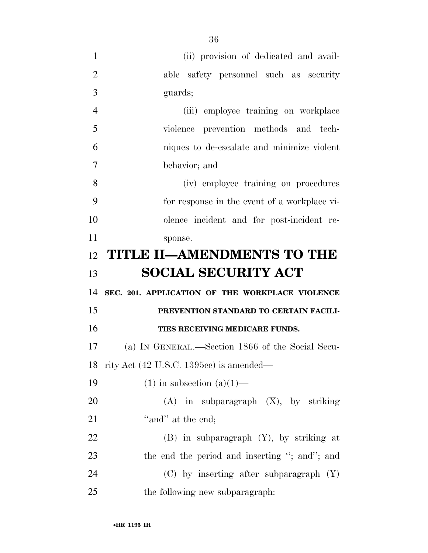| $\mathbf{1}$   | (ii) provision of dedicated and avail-           |
|----------------|--------------------------------------------------|
| $\overline{2}$ | able safety personnel such as security           |
| 3              | guards;                                          |
| $\overline{4}$ | (iii) employee training on workplace             |
| 5              | violence prevention methods and tech-            |
| 6              | niques to de-escalate and minimize violent       |
| 7              | behavior; and                                    |
| 8              | (iv) employee training on procedures             |
| 9              | for response in the event of a workplace vi-     |
| 10             | olence incident and for post-incident re-        |
| 11             | sponse.                                          |
| 12             | <b>TITLE II-AMENDMENTS TO THE</b>                |
|                |                                                  |
| 13             | <b>SOCIAL SECURITY ACT</b>                       |
| 14             | SEC. 201. APPLICATION OF THE WORKPLACE VIOLENCE  |
| 15             | PREVENTION STANDARD TO CERTAIN FACILI-           |
| 16             | TIES RECEIVING MEDICARE FUNDS.                   |
| 17             | (a) IN GENERAL.—Section 1866 of the Social Secu- |
| 18             | rity Act (42 U.S.C. 1395cc) is amended—          |
| 19             | $(1)$ in subsection $(a)(1)$ —                   |
| 20             | $(A)$ in subparagraph $(X)$ , by striking        |
| 21             | "and" at the end;                                |
| 22             | $(B)$ in subparagraph $(Y)$ , by striking at     |
| 23             | the end the period and inserting "; and"; and    |
| 24             | $(C)$ by inserting after subparagraph $(Y)$      |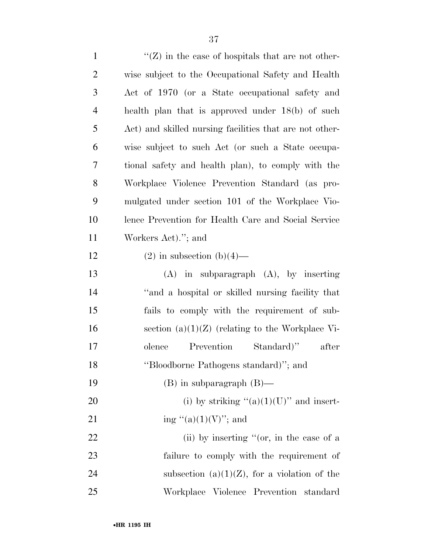| $\mathbf{1}$   | $\lq\lq (Z)$ in the case of hospitals that are not other- |
|----------------|-----------------------------------------------------------|
| $\overline{2}$ | wise subject to the Occupational Safety and Health        |
| 3              | Act of 1970 (or a State occupational safety and           |
| $\overline{4}$ | health plan that is approved under 18(b) of such          |
| 5              | Act) and skilled nursing facilities that are not other-   |
| 6              | wise subject to such Act (or such a State occupa-         |
| 7              | tional safety and health plan), to comply with the        |
| 8              | Workplace Violence Prevention Standard (as pro-           |
| 9              | mulgated under section 101 of the Workplace Vio-          |
| 10             | lence Prevention for Health Care and Social Service       |
| 11             | Workers Act)."; and                                       |
| 12             | $(2)$ in subsection $(b)(4)$ —                            |
| 13             | $(A)$ in subparagraph $(A)$ , by inserting                |
| 14             | "and a hospital or skilled nursing facility that          |
| 15             | fails to comply with the requirement of sub-              |
| 16             | section $(a)(1)(Z)$ (relating to the Workplace Vi-        |
| 17             | Prevention<br>Standard)"<br>olence<br>after               |
| 18             | "Bloodborne Pathogens standard)"; and                     |
| 19             | $(B)$ in subparagraph $(B)$ —                             |
| 20             | (i) by striking " $(a)(1)(U)$ " and insert-               |
| 21             | ing "(a) $(1)(V)$ "; and                                  |
| 22             | (ii) by inserting " $(or, in the case of a)$              |
| 23             | failure to comply with the requirement of                 |
| 24             | subsection $(a)(1)(Z)$ , for a violation of the           |
| 25             | Workplace Violence Prevention standard                    |